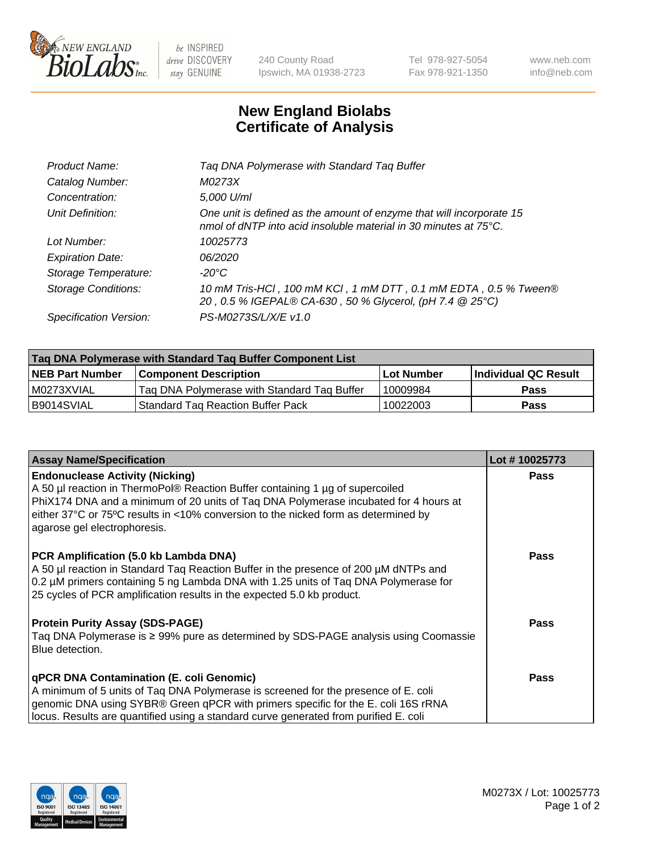

 $be$  INSPIRED drive DISCOVERY stay GENUINE

240 County Road Ipswich, MA 01938-2723 Tel 978-927-5054 Fax 978-921-1350 www.neb.com info@neb.com

## **New England Biolabs Certificate of Analysis**

| Product Name:              | Tag DNA Polymerase with Standard Tag Buffer                                                                                              |
|----------------------------|------------------------------------------------------------------------------------------------------------------------------------------|
| Catalog Number:            | M0273X                                                                                                                                   |
| Concentration:             | 5,000 U/ml                                                                                                                               |
| Unit Definition:           | One unit is defined as the amount of enzyme that will incorporate 15<br>nmol of dNTP into acid insoluble material in 30 minutes at 75°C. |
| Lot Number:                | 10025773                                                                                                                                 |
| <b>Expiration Date:</b>    | 06/2020                                                                                                                                  |
| Storage Temperature:       | $-20^{\circ}$ C                                                                                                                          |
| <b>Storage Conditions:</b> | 10 mM Tris-HCl, 100 mM KCl, 1 mM DTT, 0.1 mM EDTA, 0.5 % Tween®<br>20, 0.5 % IGEPAL® CA-630, 50 % Glycerol, (pH 7.4 @ 25°C)              |
| Specification Version:     | PS-M0273S/L/X/E v1.0                                                                                                                     |
|                            |                                                                                                                                          |

| Taq DNA Polymerase with Standard Taq Buffer Component List |                                             |                   |                      |  |
|------------------------------------------------------------|---------------------------------------------|-------------------|----------------------|--|
| <b>NEB Part Number</b>                                     | Component Description_                      | <b>Lot Number</b> | Individual QC Result |  |
| M0273XVIAL                                                 | Tag DNA Polymerase with Standard Tag Buffer | 10009984          | <b>Pass</b>          |  |
| B9014SVIAL                                                 | Standard Tag Reaction Buffer Pack           | 10022003          | Pass                 |  |

| <b>Assay Name/Specification</b>                                                                                                                                                                                                                                                                                                       | Lot #10025773 |
|---------------------------------------------------------------------------------------------------------------------------------------------------------------------------------------------------------------------------------------------------------------------------------------------------------------------------------------|---------------|
| <b>Endonuclease Activity (Nicking)</b><br>A 50 µl reaction in ThermoPol® Reaction Buffer containing 1 µg of supercoiled<br>PhiX174 DNA and a minimum of 20 units of Taq DNA Polymerase incubated for 4 hours at<br>either 37°C or 75°C results in <10% conversion to the nicked form as determined by<br>agarose gel electrophoresis. | <b>Pass</b>   |
| PCR Amplification (5.0 kb Lambda DNA)<br>A 50 µl reaction in Standard Tag Reaction Buffer in the presence of 200 µM dNTPs and<br>0.2 µM primers containing 5 ng Lambda DNA with 1.25 units of Tag DNA Polymerase for<br>25 cycles of PCR amplification results in the expected 5.0 kb product.                                        | <b>Pass</b>   |
| <b>Protein Purity Assay (SDS-PAGE)</b><br>Taq DNA Polymerase is ≥ 99% pure as determined by SDS-PAGE analysis using Coomassie<br>Blue detection.                                                                                                                                                                                      | Pass          |
| qPCR DNA Contamination (E. coli Genomic)<br>A minimum of 5 units of Taq DNA Polymerase is screened for the presence of E. coli<br>genomic DNA using SYBR® Green qPCR with primers specific for the E. coli 16S rRNA<br>locus. Results are quantified using a standard curve generated from purified E. coli                           | Pass          |